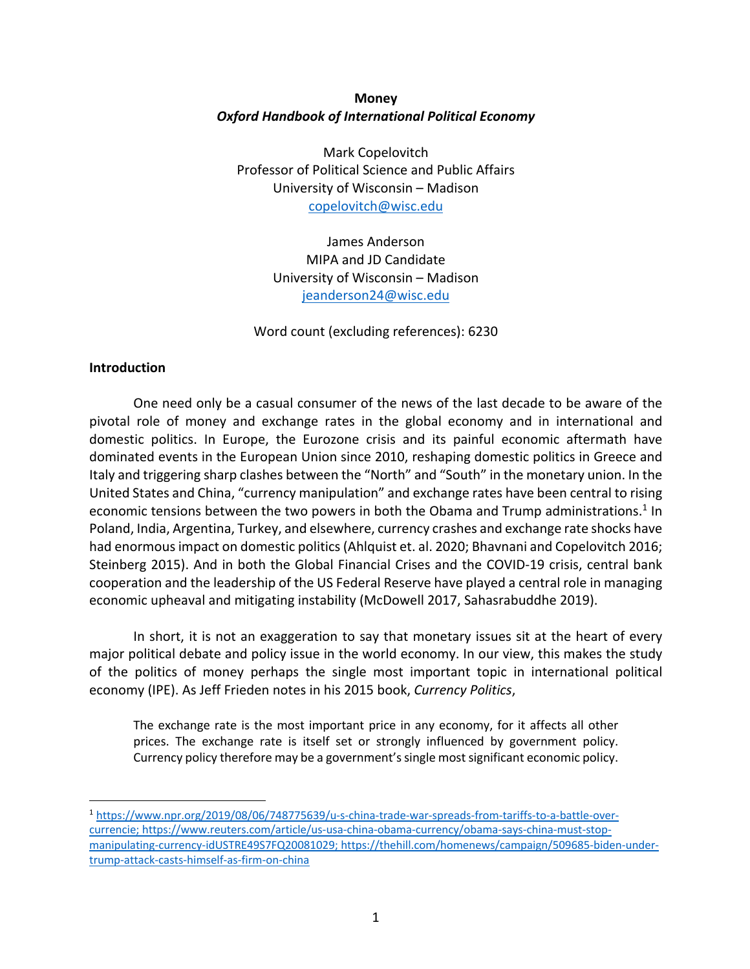# **Money** *Oxford Handbook of International Political Economy*

Mark Copelovitch Professor of Political Science and Public Affairs University of Wisconsin – Madison copelovitch@wisc.edu

> James Anderson MIPA and JD Candidate University of Wisconsin – Madison jeanderson24@wisc.edu

Word count (excluding references): 6230

## **Introduction**

One need only be a casual consumer of the news of the last decade to be aware of the pivotal role of money and exchange rates in the global economy and in international and domestic politics. In Europe, the Eurozone crisis and its painful economic aftermath have dominated events in the European Union since 2010, reshaping domestic politics in Greece and Italy and triggering sharp clashes between the "North" and "South" in the monetary union. In the United States and China, "currency manipulation" and exchange rates have been central to rising economic tensions between the two powers in both the Obama and Trump administrations.<sup>1</sup> In Poland, India, Argentina, Turkey, and elsewhere, currency crashes and exchange rate shocks have had enormous impact on domestic politics (Ahlquist et. al. 2020; Bhavnani and Copelovitch 2016; Steinberg 2015). And in both the Global Financial Crises and the COVID-19 crisis, central bank cooperation and the leadership of the US Federal Reserve have played a central role in managing economic upheaval and mitigating instability (McDowell 2017, Sahasrabuddhe 2019).

In short, it is not an exaggeration to say that monetary issues sit at the heart of every major political debate and policy issue in the world economy. In our view, this makes the study of the politics of money perhaps the single most important topic in international political economy (IPE). As Jeff Frieden notes in his 2015 book, *Currency Politics*,

The exchange rate is the most important price in any economy, for it affects all other prices. The exchange rate is itself set or strongly influenced by government policy. Currency policy therefore may be a government's single most significant economic policy.

<sup>1</sup> https://www.npr.org/2019/08/06/748775639/u-s-china-trade-war-spreads-from-tariffs-to-a-battle-overcurrencie; https://www.reuters.com/article/us-usa-china-obama-currency/obama-says-china-must-stopmanipulating-currency-idUSTRE49S7FQ20081029; https://thehill.com/homenews/campaign/509685-biden-undertrump-attack-casts-himself-as-firm-on-china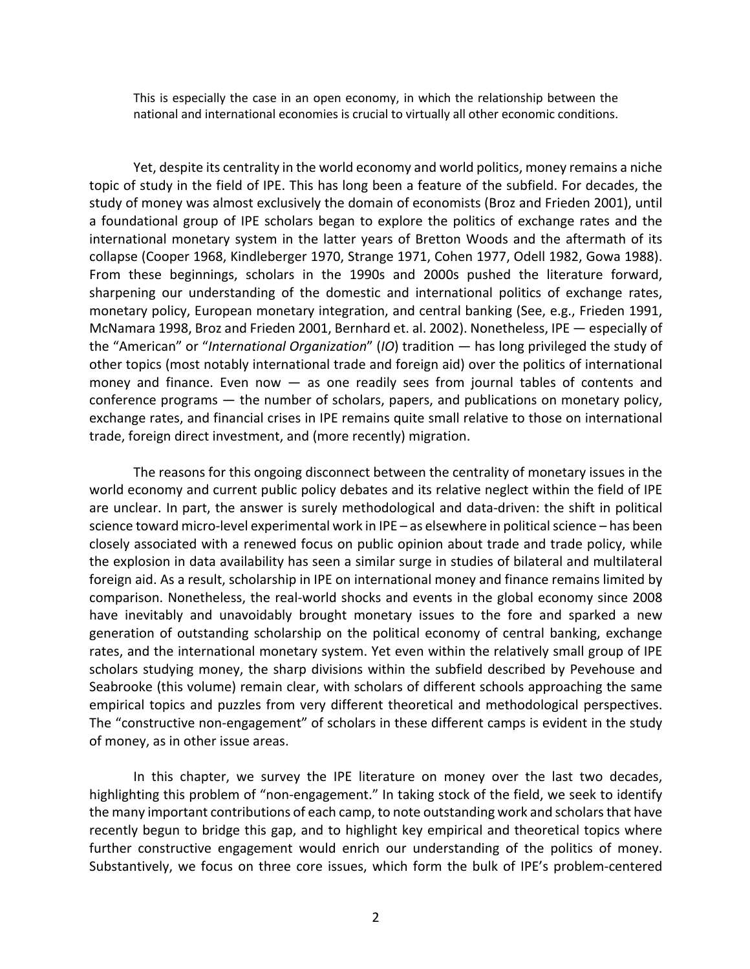This is especially the case in an open economy, in which the relationship between the national and international economies is crucial to virtually all other economic conditions.

Yet, despite its centrality in the world economy and world politics, money remains a niche topic of study in the field of IPE. This has long been a feature of the subfield. For decades, the study of money was almost exclusively the domain of economists (Broz and Frieden 2001), until a foundational group of IPE scholars began to explore the politics of exchange rates and the international monetary system in the latter years of Bretton Woods and the aftermath of its collapse (Cooper 1968, Kindleberger 1970, Strange 1971, Cohen 1977, Odell 1982, Gowa 1988). From these beginnings, scholars in the 1990s and 2000s pushed the literature forward, sharpening our understanding of the domestic and international politics of exchange rates, monetary policy, European monetary integration, and central banking (See, e.g., Frieden 1991, McNamara 1998, Broz and Frieden 2001, Bernhard et. al. 2002). Nonetheless, IPE — especially of the "American" or "*International Organization*" (*IO*) tradition — has long privileged the study of other topics (most notably international trade and foreign aid) over the politics of international money and finance. Even now  $-$  as one readily sees from journal tables of contents and conference programs — the number of scholars, papers, and publications on monetary policy, exchange rates, and financial crises in IPE remains quite small relative to those on international trade, foreign direct investment, and (more recently) migration.

The reasons for this ongoing disconnect between the centrality of monetary issues in the world economy and current public policy debates and its relative neglect within the field of IPE are unclear. In part, the answer is surely methodological and data-driven: the shift in political science toward micro-level experimental work in IPE – as elsewhere in political science – has been closely associated with a renewed focus on public opinion about trade and trade policy, while the explosion in data availability has seen a similar surge in studies of bilateral and multilateral foreign aid. As a result, scholarship in IPE on international money and finance remains limited by comparison. Nonetheless, the real-world shocks and events in the global economy since 2008 have inevitably and unavoidably brought monetary issues to the fore and sparked a new generation of outstanding scholarship on the political economy of central banking, exchange rates, and the international monetary system. Yet even within the relatively small group of IPE scholars studying money, the sharp divisions within the subfield described by Pevehouse and Seabrooke (this volume) remain clear, with scholars of different schools approaching the same empirical topics and puzzles from very different theoretical and methodological perspectives. The "constructive non-engagement" of scholars in these different camps is evident in the study of money, as in other issue areas.

In this chapter, we survey the IPE literature on money over the last two decades, highlighting this problem of "non-engagement." In taking stock of the field, we seek to identify the many important contributions of each camp, to note outstanding work and scholars that have recently begun to bridge this gap, and to highlight key empirical and theoretical topics where further constructive engagement would enrich our understanding of the politics of money. Substantively, we focus on three core issues, which form the bulk of IPE's problem-centered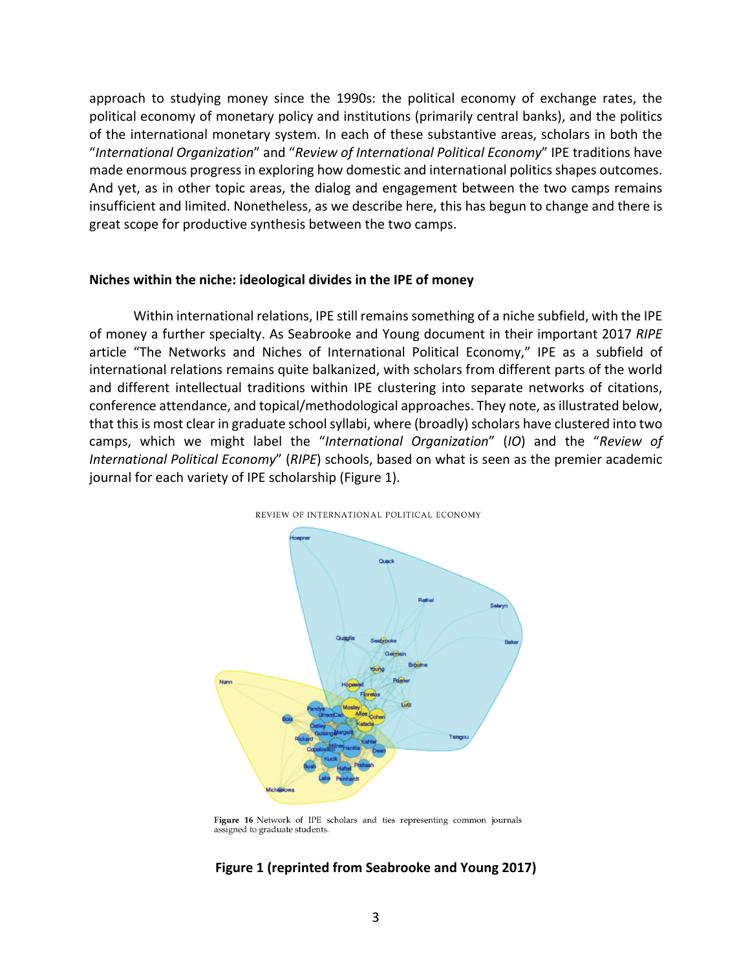approach to studying money since the 1990s: the political economy of exchange rates, the political economy of monetary policy and institutions (primarily central banks), and the politics of the international monetary system. In each of these substantive areas, scholars in both the "*International Organization*" and "*Review of International Political Economy*" IPE traditions have made enormous progress in exploring how domestic and international politics shapes outcomes. And yet, as in other topic areas, the dialog and engagement between the two camps remains insufficient and limited. Nonetheless, as we describe here, this has begun to change and there is great scope for productive synthesis between the two camps.

#### **Niches within the niche: ideological divides in the IPE of money**

Within international relations, IPE still remains something of a niche subfield, with the IPE of money a further specialty. As Seabrooke and Young document in their important 2017 *RIPE* article "The Networks and Niches of International Political Economy," IPE as a subfield of international relations remains quite balkanized, with scholars from different parts of the world and different intellectual traditions within IPE clustering into separate networks of citations, conference attendance, and topical/methodological approaches. They note, as illustrated below, that this is most clear in graduate school syllabi, where (broadly) scholars have clustered into two camps, which we might label the "*International Organization*" (*IO*) and the "*Review of International Political Economy*" (*RIPE*) schools, based on what is seen as the premier academic journal for each variety of IPE scholarship (Figure 1).



REVIEW OF INTERNATIONAL POLITICAL ECONOMY

## **Figure 1 (reprinted from Seabrooke and Young 2017)**

Figure 16 Network of IPE scholars and ties representing common journals assigned to graduate students.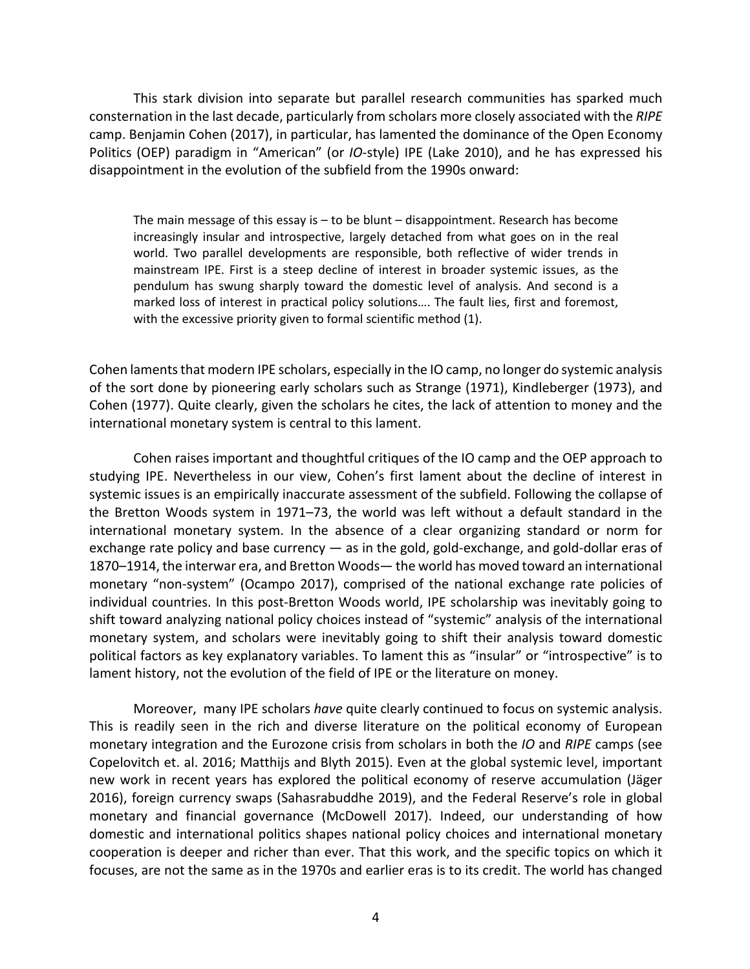This stark division into separate but parallel research communities has sparked much consternation in the last decade, particularly from scholars more closely associated with the *RIPE* camp. Benjamin Cohen (2017), in particular, has lamented the dominance of the Open Economy Politics (OEP) paradigm in "American" (or *IO*-style) IPE (Lake 2010), and he has expressed his disappointment in the evolution of the subfield from the 1990s onward:

The main message of this essay is  $-$  to be blunt  $-$  disappointment. Research has become increasingly insular and introspective, largely detached from what goes on in the real world. Two parallel developments are responsible, both reflective of wider trends in mainstream IPE. First is a steep decline of interest in broader systemic issues, as the pendulum has swung sharply toward the domestic level of analysis. And second is a marked loss of interest in practical policy solutions…. The fault lies, first and foremost, with the excessive priority given to formal scientific method (1).

Cohen laments that modern IPE scholars, especially in the IO camp, no longer do systemic analysis of the sort done by pioneering early scholars such as Strange (1971), Kindleberger (1973), and Cohen (1977). Quite clearly, given the scholars he cites, the lack of attention to money and the international monetary system is central to this lament.

Cohen raises important and thoughtful critiques of the IO camp and the OEP approach to studying IPE. Nevertheless in our view, Cohen's first lament about the decline of interest in systemic issues is an empirically inaccurate assessment of the subfield. Following the collapse of the Bretton Woods system in 1971–73, the world was left without a default standard in the international monetary system. In the absence of a clear organizing standard or norm for exchange rate policy and base currency — as in the gold, gold-exchange, and gold-dollar eras of 1870–1914, the interwar era, and Bretton Woods— the world has moved toward an international monetary "non-system" (Ocampo 2017), comprised of the national exchange rate policies of individual countries. In this post-Bretton Woods world, IPE scholarship was inevitably going to shift toward analyzing national policy choices instead of "systemic" analysis of the international monetary system, and scholars were inevitably going to shift their analysis toward domestic political factors as key explanatory variables. To lament this as "insular" or "introspective" is to lament history, not the evolution of the field of IPE or the literature on money.

Moreover, many IPE scholars *have* quite clearly continued to focus on systemic analysis. This is readily seen in the rich and diverse literature on the political economy of European monetary integration and the Eurozone crisis from scholars in both the *IO* and *RIPE* camps (see Copelovitch et. al. 2016; Matthijs and Blyth 2015). Even at the global systemic level, important new work in recent years has explored the political economy of reserve accumulation (Jäger 2016), foreign currency swaps (Sahasrabuddhe 2019), and the Federal Reserve's role in global monetary and financial governance (McDowell 2017). Indeed, our understanding of how domestic and international politics shapes national policy choices and international monetary cooperation is deeper and richer than ever. That this work, and the specific topics on which it focuses, are not the same as in the 1970s and earlier eras is to its credit. The world has changed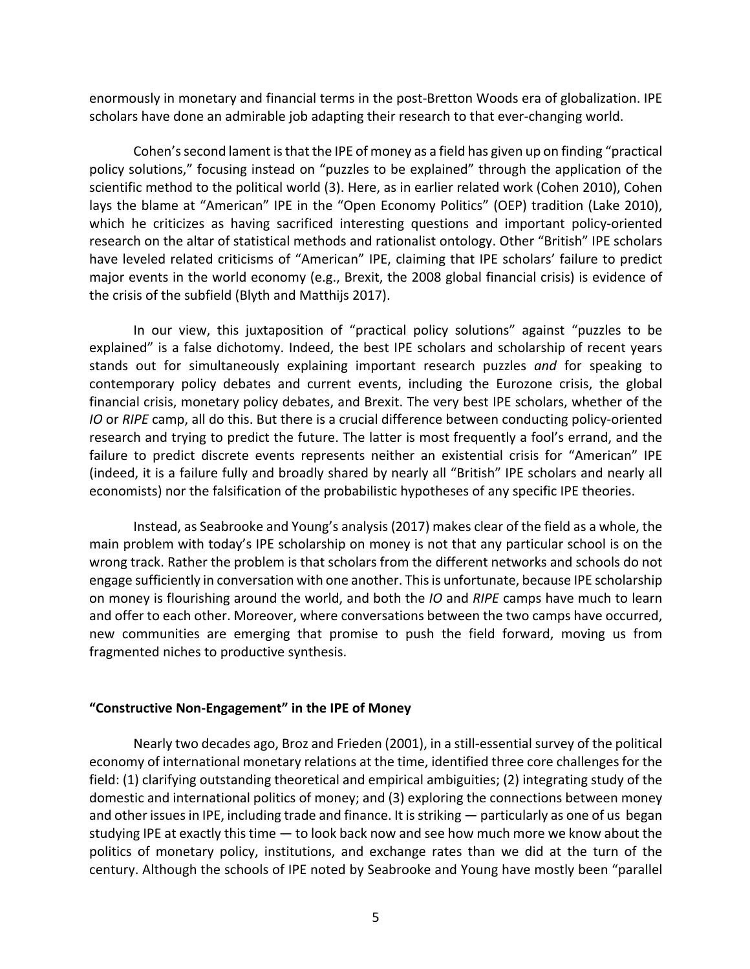enormously in monetary and financial terms in the post-Bretton Woods era of globalization. IPE scholars have done an admirable job adapting their research to that ever-changing world.

Cohen'ssecond lament is that the IPE of money as a field has given up on finding "practical policy solutions," focusing instead on "puzzles to be explained" through the application of the scientific method to the political world (3). Here, as in earlier related work (Cohen 2010), Cohen lays the blame at "American" IPE in the "Open Economy Politics" (OEP) tradition (Lake 2010), which he criticizes as having sacrificed interesting questions and important policy-oriented research on the altar of statistical methods and rationalist ontology. Other "British" IPE scholars have leveled related criticisms of "American" IPE, claiming that IPE scholars' failure to predict major events in the world economy (e.g., Brexit, the 2008 global financial crisis) is evidence of the crisis of the subfield (Blyth and Matthijs 2017).

In our view, this juxtaposition of "practical policy solutions" against "puzzles to be explained" is a false dichotomy. Indeed, the best IPE scholars and scholarship of recent years stands out for simultaneously explaining important research puzzles *and* for speaking to contemporary policy debates and current events, including the Eurozone crisis, the global financial crisis, monetary policy debates, and Brexit. The very best IPE scholars, whether of the *IO* or *RIPE* camp, all do this. But there is a crucial difference between conducting policy-oriented research and trying to predict the future. The latter is most frequently a fool's errand, and the failure to predict discrete events represents neither an existential crisis for "American" IPE (indeed, it is a failure fully and broadly shared by nearly all "British" IPE scholars and nearly all economists) nor the falsification of the probabilistic hypotheses of any specific IPE theories.

Instead, as Seabrooke and Young's analysis (2017) makes clear of the field as a whole, the main problem with today's IPE scholarship on money is not that any particular school is on the wrong track. Rather the problem is that scholars from the different networks and schools do not engage sufficiently in conversation with one another. This is unfortunate, because IPE scholarship on money is flourishing around the world, and both the *IO* and *RIPE* camps have much to learn and offer to each other. Moreover, where conversations between the two camps have occurred, new communities are emerging that promise to push the field forward, moving us from fragmented niches to productive synthesis.

### **"Constructive Non-Engagement" in the IPE of Money**

Nearly two decades ago, Broz and Frieden (2001), in a still-essential survey of the political economy of international monetary relations at the time, identified three core challenges for the field: (1) clarifying outstanding theoretical and empirical ambiguities; (2) integrating study of the domestic and international politics of money; and (3) exploring the connections between money and other issues in IPE, including trade and finance. It is striking — particularly as one of us began studying IPE at exactly this time — to look back now and see how much more we know about the politics of monetary policy, institutions, and exchange rates than we did at the turn of the century. Although the schools of IPE noted by Seabrooke and Young have mostly been "parallel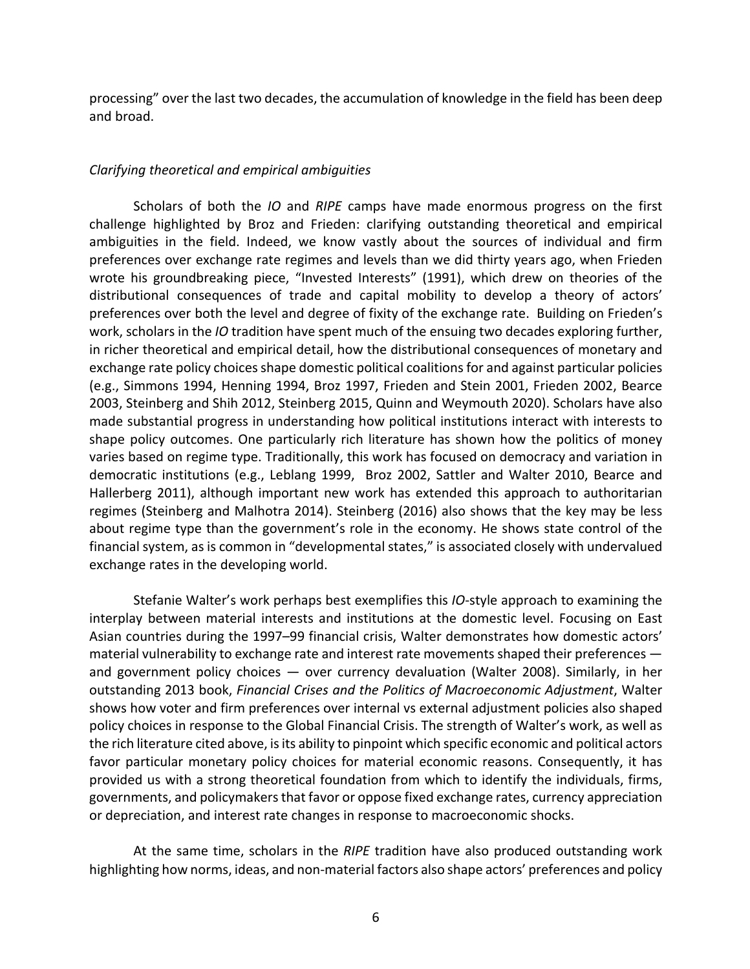processing" over the last two decades, the accumulation of knowledge in the field has been deep and broad.

### *Clarifying theoretical and empirical ambiguities*

Scholars of both the *IO* and *RIPE* camps have made enormous progress on the first challenge highlighted by Broz and Frieden: clarifying outstanding theoretical and empirical ambiguities in the field. Indeed, we know vastly about the sources of individual and firm preferences over exchange rate regimes and levels than we did thirty years ago, when Frieden wrote his groundbreaking piece, "Invested Interests" (1991), which drew on theories of the distributional consequences of trade and capital mobility to develop a theory of actors' preferences over both the level and degree of fixity of the exchange rate. Building on Frieden's work, scholars in the *IO* tradition have spent much of the ensuing two decades exploring further, in richer theoretical and empirical detail, how the distributional consequences of monetary and exchange rate policy choices shape domestic political coalitions for and against particular policies (e.g., Simmons 1994, Henning 1994, Broz 1997, Frieden and Stein 2001, Frieden 2002, Bearce 2003, Steinberg and Shih 2012, Steinberg 2015, Quinn and Weymouth 2020). Scholars have also made substantial progress in understanding how political institutions interact with interests to shape policy outcomes. One particularly rich literature has shown how the politics of money varies based on regime type. Traditionally, this work has focused on democracy and variation in democratic institutions (e.g., Leblang 1999, Broz 2002, Sattler and Walter 2010, Bearce and Hallerberg 2011), although important new work has extended this approach to authoritarian regimes (Steinberg and Malhotra 2014). Steinberg (2016) also shows that the key may be less about regime type than the government's role in the economy. He shows state control of the financial system, as is common in "developmental states," is associated closely with undervalued exchange rates in the developing world.

Stefanie Walter's work perhaps best exemplifies this *IO*-style approach to examining the interplay between material interests and institutions at the domestic level. Focusing on East Asian countries during the 1997–99 financial crisis, Walter demonstrates how domestic actors' material vulnerability to exchange rate and interest rate movements shaped their preferences and government policy choices — over currency devaluation (Walter 2008). Similarly, in her outstanding 2013 book, *Financial Crises and the Politics of Macroeconomic Adjustment*, Walter shows how voter and firm preferences over internal vs external adjustment policies also shaped policy choices in response to the Global Financial Crisis. The strength of Walter's work, as well as the rich literature cited above, is its ability to pinpoint which specific economic and political actors favor particular monetary policy choices for material economic reasons. Consequently, it has provided us with a strong theoretical foundation from which to identify the individuals, firms, governments, and policymakers that favor or oppose fixed exchange rates, currency appreciation or depreciation, and interest rate changes in response to macroeconomic shocks.

At the same time, scholars in the *RIPE* tradition have also produced outstanding work highlighting how norms, ideas, and non-material factors also shape actors' preferences and policy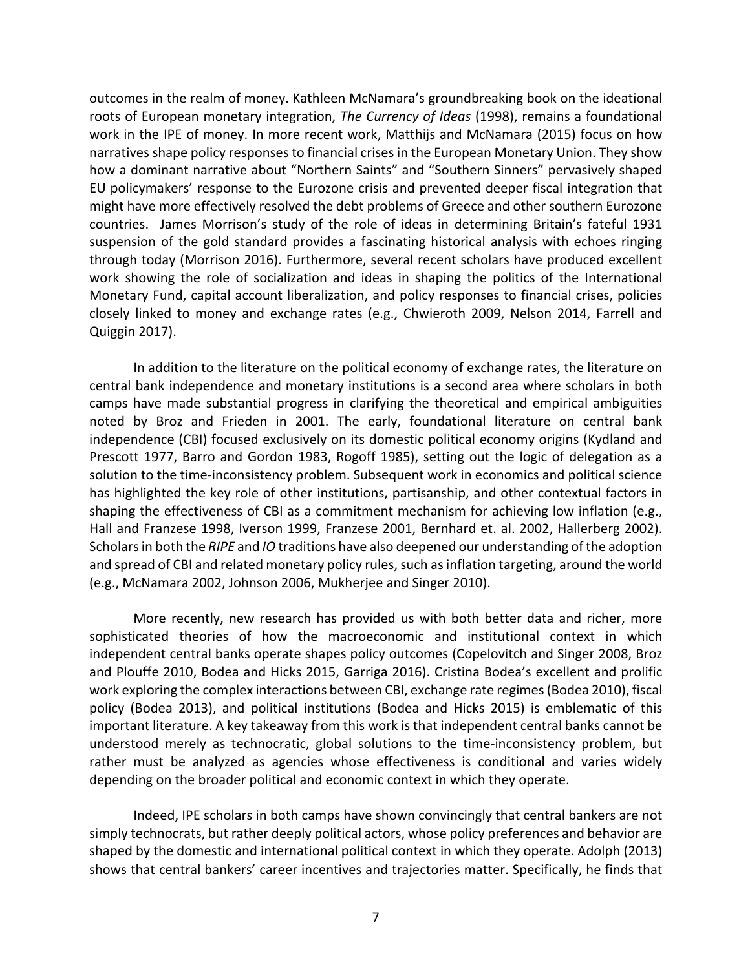outcomes in the realm of money. Kathleen McNamara's groundbreaking book on the ideational roots of European monetary integration, *The Currency of Ideas* (1998), remains a foundational work in the IPE of money. In more recent work, Matthijs and McNamara (2015) focus on how narratives shape policy responses to financial crises in the European Monetary Union. They show how a dominant narrative about "Northern Saints" and "Southern Sinners" pervasively shaped EU policymakers' response to the Eurozone crisis and prevented deeper fiscal integration that might have more effectively resolved the debt problems of Greece and other southern Eurozone countries. James Morrison's study of the role of ideas in determining Britain's fateful 1931 suspension of the gold standard provides a fascinating historical analysis with echoes ringing through today (Morrison 2016). Furthermore, several recent scholars have produced excellent work showing the role of socialization and ideas in shaping the politics of the International Monetary Fund, capital account liberalization, and policy responses to financial crises, policies closely linked to money and exchange rates (e.g., Chwieroth 2009, Nelson 2014, Farrell and Quiggin 2017).

In addition to the literature on the political economy of exchange rates, the literature on central bank independence and monetary institutions is a second area where scholars in both camps have made substantial progress in clarifying the theoretical and empirical ambiguities noted by Broz and Frieden in 2001. The early, foundational literature on central bank independence (CBI) focused exclusively on its domestic political economy origins (Kydland and Prescott 1977, Barro and Gordon 1983, Rogoff 1985), setting out the logic of delegation as a solution to the time-inconsistency problem. Subsequent work in economics and political science has highlighted the key role of other institutions, partisanship, and other contextual factors in shaping the effectiveness of CBI as a commitment mechanism for achieving low inflation (e.g., Hall and Franzese 1998, Iverson 1999, Franzese 2001, Bernhard et. al. 2002, Hallerberg 2002). Scholars in both the *RIPE* and *IO* traditions have also deepened our understanding of the adoption and spread of CBI and related monetary policy rules, such as inflation targeting, around the world (e.g., McNamara 2002, Johnson 2006, Mukherjee and Singer 2010).

More recently, new research has provided us with both better data and richer, more sophisticated theories of how the macroeconomic and institutional context in which independent central banks operate shapes policy outcomes (Copelovitch and Singer 2008, Broz and Plouffe 2010, Bodea and Hicks 2015, Garriga 2016). Cristina Bodea's excellent and prolific work exploring the complex interactions between CBI, exchange rate regimes (Bodea 2010), fiscal policy (Bodea 2013), and political institutions (Bodea and Hicks 2015) is emblematic of this important literature. A key takeaway from this work is that independent central banks cannot be understood merely as technocratic, global solutions to the time-inconsistency problem, but rather must be analyzed as agencies whose effectiveness is conditional and varies widely depending on the broader political and economic context in which they operate.

Indeed, IPE scholars in both camps have shown convincingly that central bankers are not simply technocrats, but rather deeply political actors, whose policy preferences and behavior are shaped by the domestic and international political context in which they operate. Adolph (2013) shows that central bankers' career incentives and trajectories matter. Specifically, he finds that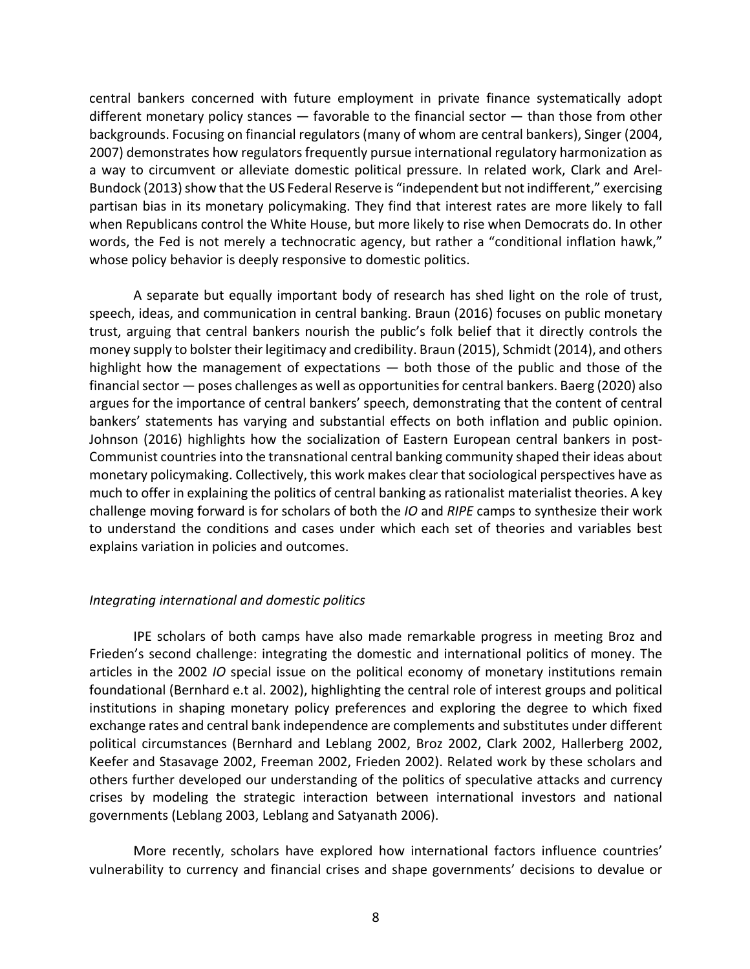central bankers concerned with future employment in private finance systematically adopt different monetary policy stances — favorable to the financial sector — than those from other backgrounds. Focusing on financial regulators (many of whom are central bankers), Singer (2004, 2007) demonstrates how regulators frequently pursue international regulatory harmonization as a way to circumvent or alleviate domestic political pressure. In related work, Clark and Arel-Bundock (2013) show that the US Federal Reserve is "independent but not indifferent," exercising partisan bias in its monetary policymaking. They find that interest rates are more likely to fall when Republicans control the White House, but more likely to rise when Democrats do. In other words, the Fed is not merely a technocratic agency, but rather a "conditional inflation hawk," whose policy behavior is deeply responsive to domestic politics.

A separate but equally important body of research has shed light on the role of trust, speech, ideas, and communication in central banking. Braun (2016) focuses on public monetary trust, arguing that central bankers nourish the public's folk belief that it directly controls the money supply to bolster their legitimacy and credibility. Braun (2015), Schmidt (2014), and others highlight how the management of expectations — both those of the public and those of the financial sector — poses challenges as well as opportunities for central bankers. Baerg (2020) also argues for the importance of central bankers' speech, demonstrating that the content of central bankers' statements has varying and substantial effects on both inflation and public opinion. Johnson (2016) highlights how the socialization of Eastern European central bankers in post-Communist countries into the transnational central banking community shaped their ideas about monetary policymaking. Collectively, this work makes clear that sociological perspectives have as much to offer in explaining the politics of central banking as rationalist materialist theories. A key challenge moving forward is for scholars of both the *IO* and *RIPE* camps to synthesize their work to understand the conditions and cases under which each set of theories and variables best explains variation in policies and outcomes.

### *Integrating international and domestic politics*

IPE scholars of both camps have also made remarkable progress in meeting Broz and Frieden's second challenge: integrating the domestic and international politics of money. The articles in the 2002 *IO* special issue on the political economy of monetary institutions remain foundational (Bernhard e.t al. 2002), highlighting the central role of interest groups and political institutions in shaping monetary policy preferences and exploring the degree to which fixed exchange rates and central bank independence are complements and substitutes under different political circumstances (Bernhard and Leblang 2002, Broz 2002, Clark 2002, Hallerberg 2002, Keefer and Stasavage 2002, Freeman 2002, Frieden 2002). Related work by these scholars and others further developed our understanding of the politics of speculative attacks and currency crises by modeling the strategic interaction between international investors and national governments (Leblang 2003, Leblang and Satyanath 2006).

More recently, scholars have explored how international factors influence countries' vulnerability to currency and financial crises and shape governments' decisions to devalue or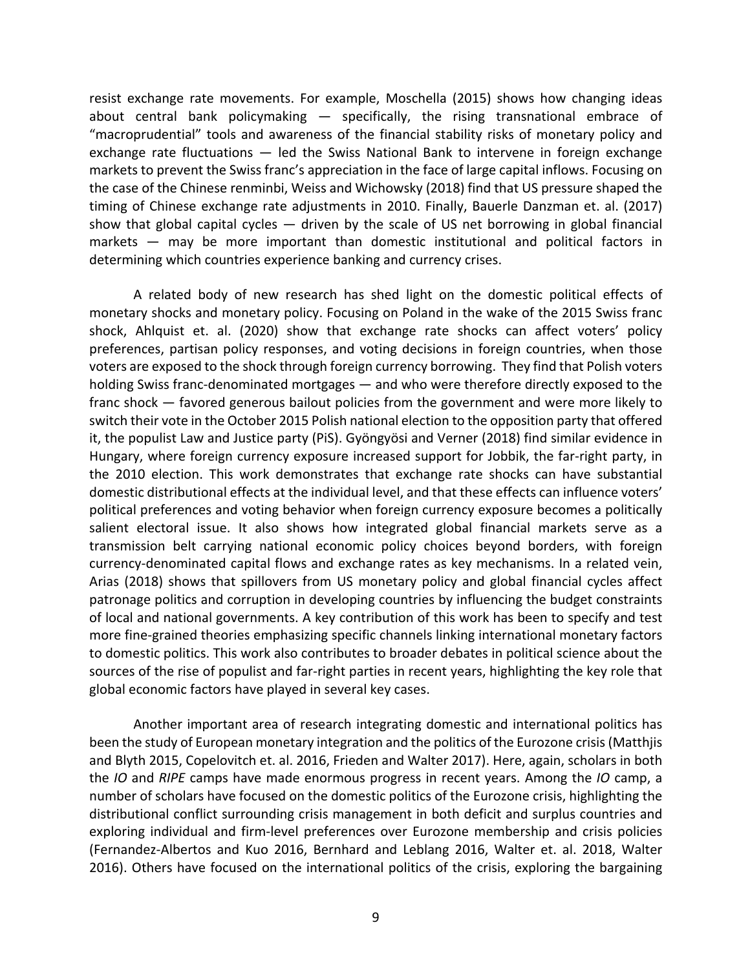resist exchange rate movements. For example, Moschella (2015) shows how changing ideas about central bank policymaking — specifically, the rising transnational embrace of "macroprudential" tools and awareness of the financial stability risks of monetary policy and exchange rate fluctuations — led the Swiss National Bank to intervene in foreign exchange markets to prevent the Swiss franc's appreciation in the face of large capital inflows. Focusing on the case of the Chinese renminbi, Weiss and Wichowsky (2018) find that US pressure shaped the timing of Chinese exchange rate adjustments in 2010. Finally, Bauerle Danzman et. al. (2017) show that global capital cycles  $-$  driven by the scale of US net borrowing in global financial markets — may be more important than domestic institutional and political factors in determining which countries experience banking and currency crises.

A related body of new research has shed light on the domestic political effects of monetary shocks and monetary policy. Focusing on Poland in the wake of the 2015 Swiss franc shock, Ahlquist et. al. (2020) show that exchange rate shocks can affect voters' policy preferences, partisan policy responses, and voting decisions in foreign countries, when those voters are exposed to the shock through foreign currency borrowing. They find that Polish voters holding Swiss franc-denominated mortgages — and who were therefore directly exposed to the franc shock — favored generous bailout policies from the government and were more likely to switch their vote in the October 2015 Polish national election to the opposition party that offered it, the populist Law and Justice party (PiS). Gyöngyösi and Verner (2018) find similar evidence in Hungary, where foreign currency exposure increased support for Jobbik, the far-right party, in the 2010 election. This work demonstrates that exchange rate shocks can have substantial domestic distributional effects at the individual level, and that these effects can influence voters' political preferences and voting behavior when foreign currency exposure becomes a politically salient electoral issue. It also shows how integrated global financial markets serve as a transmission belt carrying national economic policy choices beyond borders, with foreign currency-denominated capital flows and exchange rates as key mechanisms. In a related vein, Arias (2018) shows that spillovers from US monetary policy and global financial cycles affect patronage politics and corruption in developing countries by influencing the budget constraints of local and national governments. A key contribution of this work has been to specify and test more fine-grained theories emphasizing specific channels linking international monetary factors to domestic politics. This work also contributes to broader debates in political science about the sources of the rise of populist and far-right parties in recent years, highlighting the key role that global economic factors have played in several key cases.

Another important area of research integrating domestic and international politics has been the study of European monetary integration and the politics of the Eurozone crisis (Matthjis and Blyth 2015, Copelovitch et. al. 2016, Frieden and Walter 2017). Here, again, scholars in both the *IO* and *RIPE* camps have made enormous progress in recent years. Among the *IO* camp, a number of scholars have focused on the domestic politics of the Eurozone crisis, highlighting the distributional conflict surrounding crisis management in both deficit and surplus countries and exploring individual and firm-level preferences over Eurozone membership and crisis policies (Fernandez-Albertos and Kuo 2016, Bernhard and Leblang 2016, Walter et. al. 2018, Walter 2016). Others have focused on the international politics of the crisis, exploring the bargaining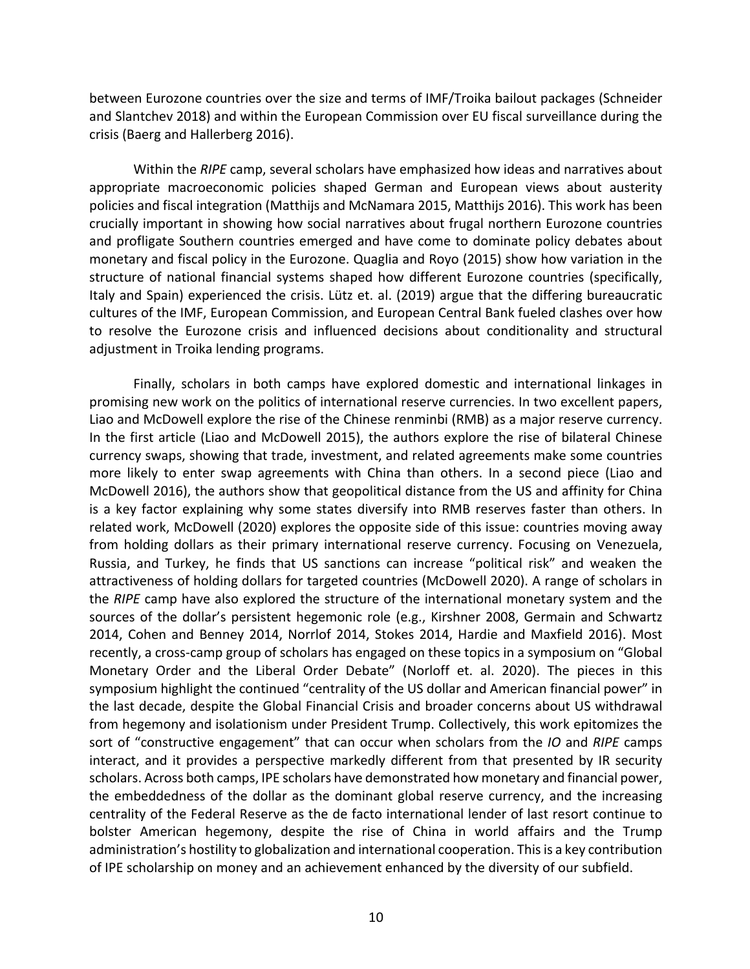between Eurozone countries over the size and terms of IMF/Troika bailout packages (Schneider and Slantchev 2018) and within the European Commission over EU fiscal surveillance during the crisis (Baerg and Hallerberg 2016).

Within the *RIPE* camp, several scholars have emphasized how ideas and narratives about appropriate macroeconomic policies shaped German and European views about austerity policies and fiscal integration (Matthijs and McNamara 2015, Matthijs 2016). This work has been crucially important in showing how social narratives about frugal northern Eurozone countries and profligate Southern countries emerged and have come to dominate policy debates about monetary and fiscal policy in the Eurozone. Quaglia and Royo (2015) show how variation in the structure of national financial systems shaped how different Eurozone countries (specifically, Italy and Spain) experienced the crisis. Lütz et. al. (2019) argue that the differing bureaucratic cultures of the IMF, European Commission, and European Central Bank fueled clashes over how to resolve the Eurozone crisis and influenced decisions about conditionality and structural adjustment in Troika lending programs.

Finally, scholars in both camps have explored domestic and international linkages in promising new work on the politics of international reserve currencies. In two excellent papers, Liao and McDowell explore the rise of the Chinese renminbi (RMB) as a major reserve currency. In the first article (Liao and McDowell 2015), the authors explore the rise of bilateral Chinese currency swaps, showing that trade, investment, and related agreements make some countries more likely to enter swap agreements with China than others. In a second piece (Liao and McDowell 2016), the authors show that geopolitical distance from the US and affinity for China is a key factor explaining why some states diversify into RMB reserves faster than others. In related work, McDowell (2020) explores the opposite side of this issue: countries moving away from holding dollars as their primary international reserve currency. Focusing on Venezuela, Russia, and Turkey, he finds that US sanctions can increase "political risk" and weaken the attractiveness of holding dollars for targeted countries (McDowell 2020). A range of scholars in the *RIPE* camp have also explored the structure of the international monetary system and the sources of the dollar's persistent hegemonic role (e.g., Kirshner 2008, Germain and Schwartz 2014, Cohen and Benney 2014, Norrlof 2014, Stokes 2014, Hardie and Maxfield 2016). Most recently, a cross-camp group of scholars has engaged on these topics in a symposium on "Global Monetary Order and the Liberal Order Debate" (Norloff et. al. 2020). The pieces in this symposium highlight the continued "centrality of the US dollar and American financial power" in the last decade, despite the Global Financial Crisis and broader concerns about US withdrawal from hegemony and isolationism under President Trump. Collectively, this work epitomizes the sort of "constructive engagement" that can occur when scholars from the *IO* and *RIPE* camps interact, and it provides a perspective markedly different from that presented by IR security scholars. Across both camps, IPE scholars have demonstrated how monetary and financial power, the embeddedness of the dollar as the dominant global reserve currency, and the increasing centrality of the Federal Reserve as the de facto international lender of last resort continue to bolster American hegemony, despite the rise of China in world affairs and the Trump administration's hostility to globalization and international cooperation. This is a key contribution of IPE scholarship on money and an achievement enhanced by the diversity of our subfield.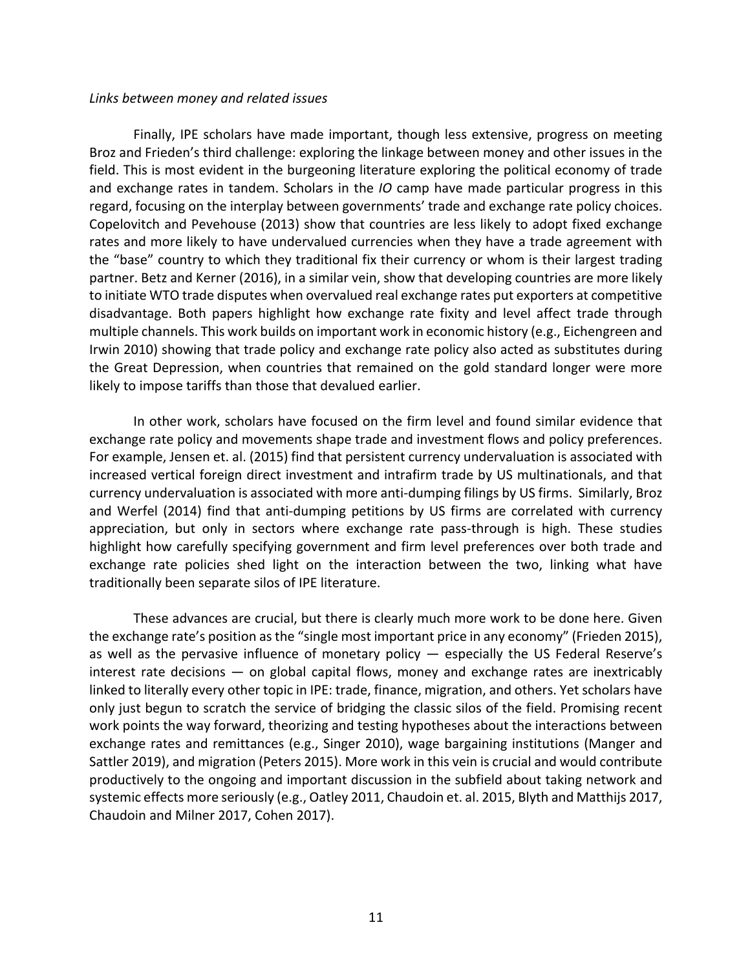#### *Links between money and related issues*

Finally, IPE scholars have made important, though less extensive, progress on meeting Broz and Frieden's third challenge: exploring the linkage between money and other issues in the field. This is most evident in the burgeoning literature exploring the political economy of trade and exchange rates in tandem. Scholars in the *IO* camp have made particular progress in this regard, focusing on the interplay between governments' trade and exchange rate policy choices. Copelovitch and Pevehouse (2013) show that countries are less likely to adopt fixed exchange rates and more likely to have undervalued currencies when they have a trade agreement with the "base" country to which they traditional fix their currency or whom is their largest trading partner. Betz and Kerner (2016), in a similar vein, show that developing countries are more likely to initiate WTO trade disputes when overvalued real exchange rates put exporters at competitive disadvantage. Both papers highlight how exchange rate fixity and level affect trade through multiple channels. This work builds on important work in economic history (e.g., Eichengreen and Irwin 2010) showing that trade policy and exchange rate policy also acted as substitutes during the Great Depression, when countries that remained on the gold standard longer were more likely to impose tariffs than those that devalued earlier.

In other work, scholars have focused on the firm level and found similar evidence that exchange rate policy and movements shape trade and investment flows and policy preferences. For example, Jensen et. al. (2015) find that persistent currency undervaluation is associated with increased vertical foreign direct investment and intrafirm trade by US multinationals, and that currency undervaluation is associated with more anti-dumping filings by US firms. Similarly, Broz and Werfel (2014) find that anti-dumping petitions by US firms are correlated with currency appreciation, but only in sectors where exchange rate pass-through is high. These studies highlight how carefully specifying government and firm level preferences over both trade and exchange rate policies shed light on the interaction between the two, linking what have traditionally been separate silos of IPE literature.

These advances are crucial, but there is clearly much more work to be done here. Given the exchange rate's position as the "single most important price in any economy" (Frieden 2015), as well as the pervasive influence of monetary policy  $-$  especially the US Federal Reserve's interest rate decisions — on global capital flows, money and exchange rates are inextricably linked to literally every other topic in IPE: trade, finance, migration, and others. Yet scholars have only just begun to scratch the service of bridging the classic silos of the field. Promising recent work points the way forward, theorizing and testing hypotheses about the interactions between exchange rates and remittances (e.g., Singer 2010), wage bargaining institutions (Manger and Sattler 2019), and migration (Peters 2015). More work in this vein is crucial and would contribute productively to the ongoing and important discussion in the subfield about taking network and systemic effects more seriously (e.g., Oatley 2011, Chaudoin et. al. 2015, Blyth and Matthijs 2017, Chaudoin and Milner 2017, Cohen 2017).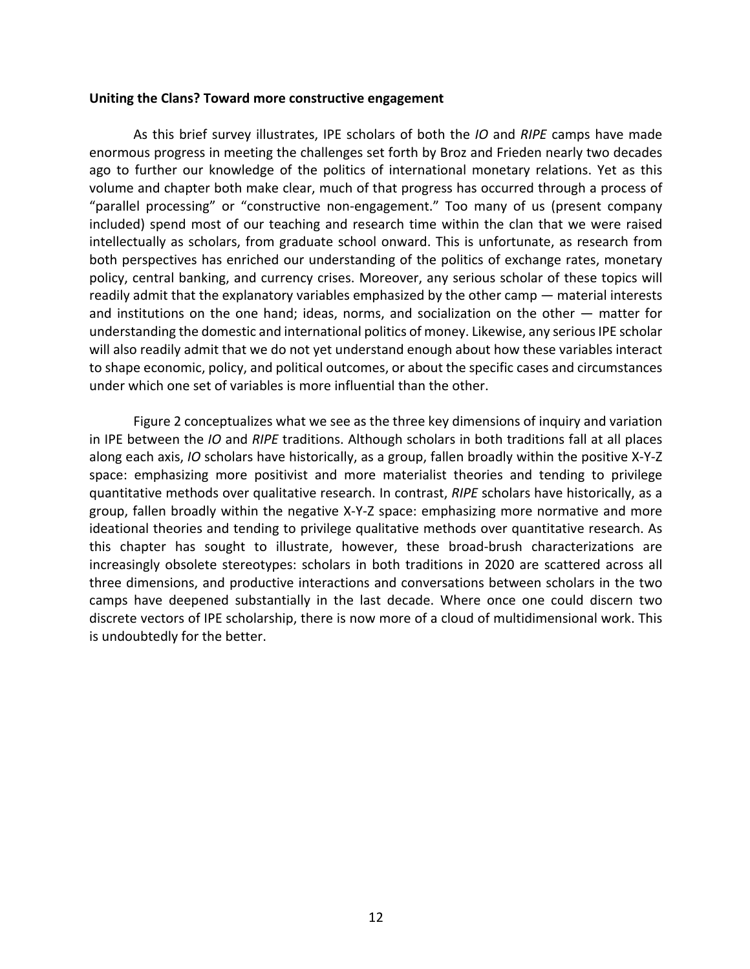#### **Uniting the Clans? Toward more constructive engagement**

As this brief survey illustrates, IPE scholars of both the *IO* and *RIPE* camps have made enormous progress in meeting the challenges set forth by Broz and Frieden nearly two decades ago to further our knowledge of the politics of international monetary relations. Yet as this volume and chapter both make clear, much of that progress has occurred through a process of "parallel processing" or "constructive non-engagement." Too many of us (present company included) spend most of our teaching and research time within the clan that we were raised intellectually as scholars, from graduate school onward. This is unfortunate, as research from both perspectives has enriched our understanding of the politics of exchange rates, monetary policy, central banking, and currency crises. Moreover, any serious scholar of these topics will readily admit that the explanatory variables emphasized by the other camp — material interests and institutions on the one hand; ideas, norms, and socialization on the other — matter for understanding the domestic and international politics of money. Likewise, any serious IPE scholar will also readily admit that we do not yet understand enough about how these variables interact to shape economic, policy, and political outcomes, or about the specific cases and circumstances under which one set of variables is more influential than the other.

Figure 2 conceptualizes what we see as the three key dimensions of inquiry and variation in IPE between the *IO* and *RIPE* traditions. Although scholars in both traditions fall at all places along each axis, *IO* scholars have historically, as a group, fallen broadly within the positive X-Y-Z space: emphasizing more positivist and more materialist theories and tending to privilege quantitative methods over qualitative research. In contrast, *RIPE* scholars have historically, as a group, fallen broadly within the negative X-Y-Z space: emphasizing more normative and more ideational theories and tending to privilege qualitative methods over quantitative research. As this chapter has sought to illustrate, however, these broad-brush characterizations are increasingly obsolete stereotypes: scholars in both traditions in 2020 are scattered across all three dimensions, and productive interactions and conversations between scholars in the two camps have deepened substantially in the last decade. Where once one could discern two discrete vectors of IPE scholarship, there is now more of a cloud of multidimensional work. This is undoubtedly for the better.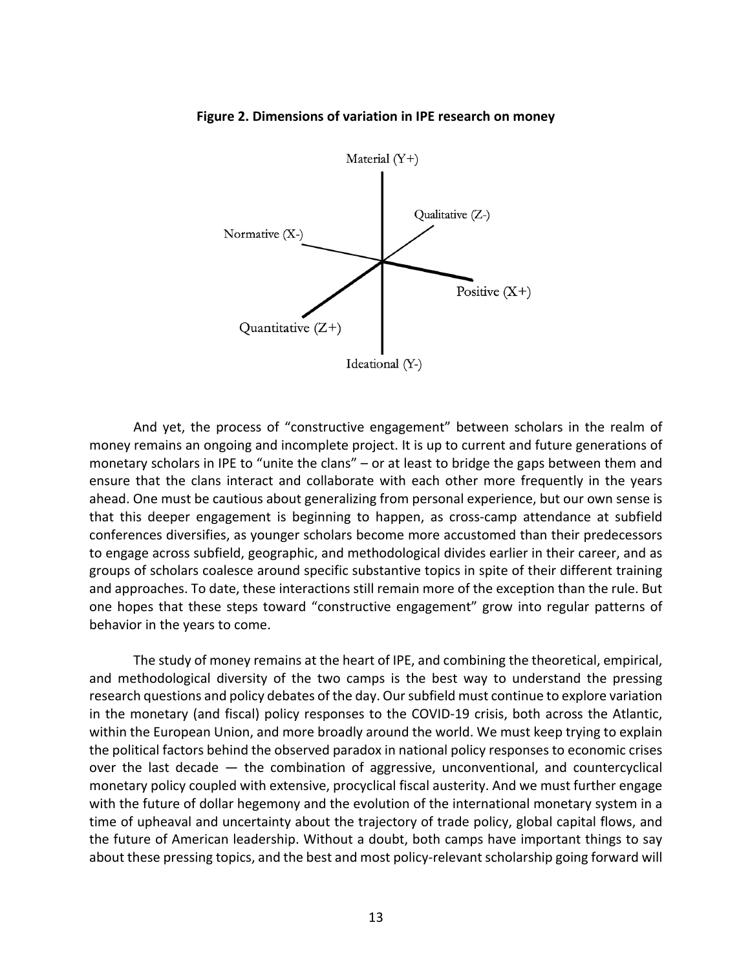

**Figure 2. Dimensions of variation in IPE research on money**

And yet, the process of "constructive engagement" between scholars in the realm of money remains an ongoing and incomplete project. It is up to current and future generations of monetary scholars in IPE to "unite the clans" – or at least to bridge the gaps between them and ensure that the clans interact and collaborate with each other more frequently in the years ahead. One must be cautious about generalizing from personal experience, but our own sense is that this deeper engagement is beginning to happen, as cross-camp attendance at subfield conferences diversifies, as younger scholars become more accustomed than their predecessors to engage across subfield, geographic, and methodological divides earlier in their career, and as groups of scholars coalesce around specific substantive topics in spite of their different training and approaches. To date, these interactions still remain more of the exception than the rule. But one hopes that these steps toward "constructive engagement" grow into regular patterns of behavior in the years to come.

The study of money remains at the heart of IPE, and combining the theoretical, empirical, and methodological diversity of the two camps is the best way to understand the pressing research questions and policy debates of the day. Our subfield must continue to explore variation in the monetary (and fiscal) policy responses to the COVID-19 crisis, both across the Atlantic, within the European Union, and more broadly around the world. We must keep trying to explain the political factors behind the observed paradox in national policy responses to economic crises over the last decade — the combination of aggressive, unconventional, and countercyclical monetary policy coupled with extensive, procyclical fiscal austerity. And we must further engage with the future of dollar hegemony and the evolution of the international monetary system in a time of upheaval and uncertainty about the trajectory of trade policy, global capital flows, and the future of American leadership. Without a doubt, both camps have important things to say about these pressing topics, and the best and most policy-relevant scholarship going forward will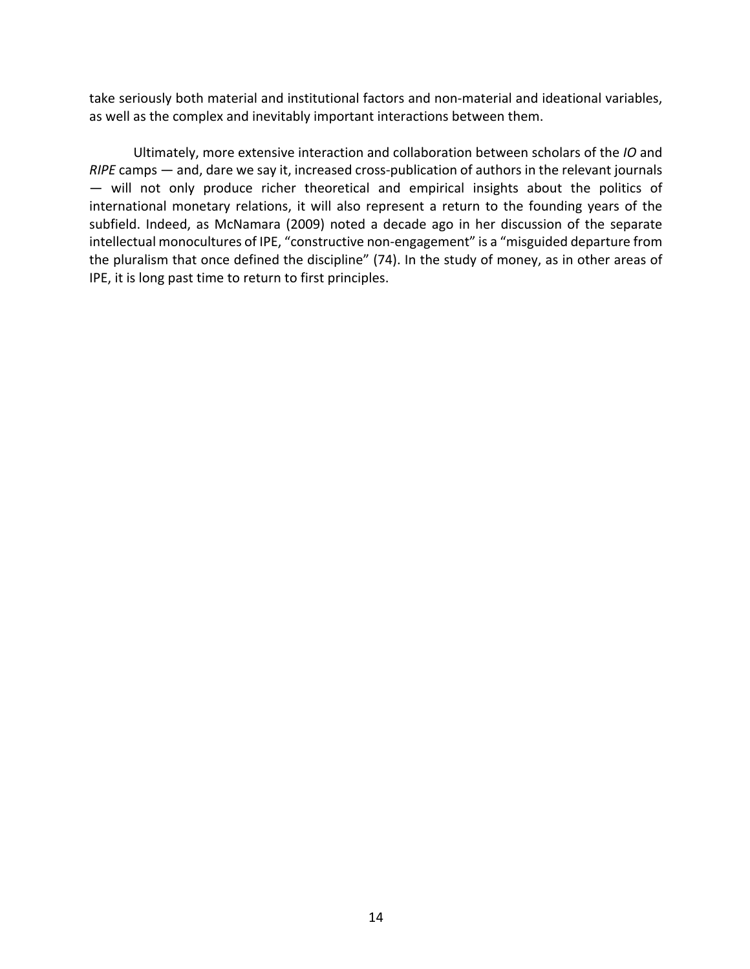take seriously both material and institutional factors and non-material and ideational variables, as well as the complex and inevitably important interactions between them.

Ultimately, more extensive interaction and collaboration between scholars of the *IO* and *RIPE* camps — and, dare we say it, increased cross-publication of authors in the relevant journals — will not only produce richer theoretical and empirical insights about the politics of international monetary relations, it will also represent a return to the founding years of the subfield. Indeed, as McNamara (2009) noted a decade ago in her discussion of the separate intellectual monocultures of IPE, "constructive non-engagement" is a "misguided departure from the pluralism that once defined the discipline" (74). In the study of money, as in other areas of IPE, it is long past time to return to first principles.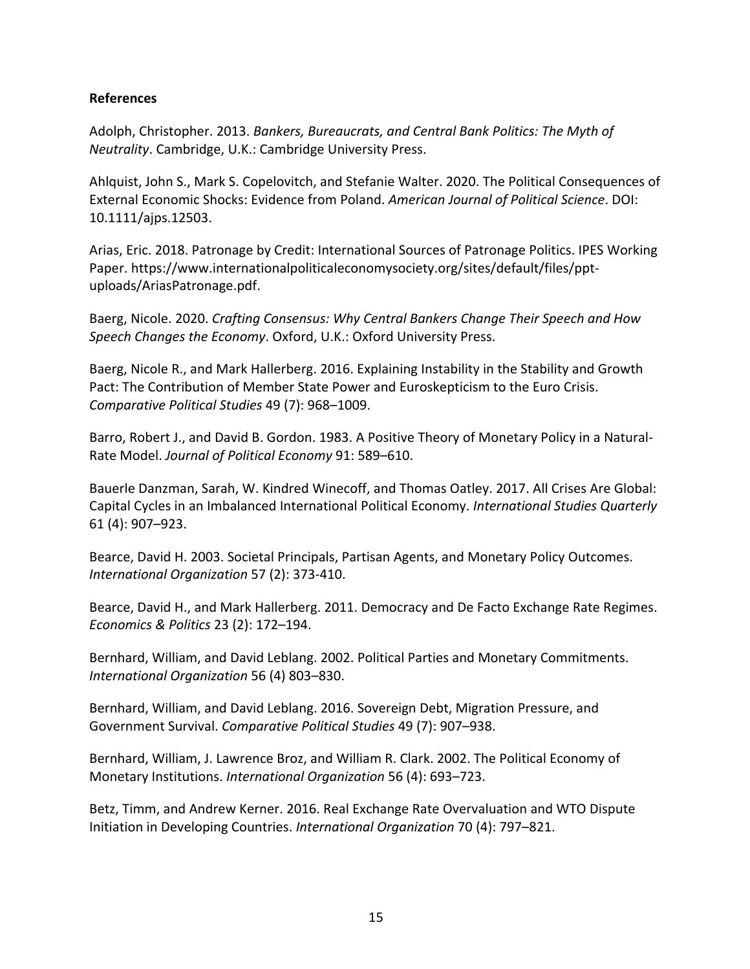# **References**

Adolph, Christopher. 2013. *Bankers, Bureaucrats, and Central Bank Politics: The Myth of Neutrality*. Cambridge, U.K.: Cambridge University Press.

Ahlquist, John S., Mark S. Copelovitch, and Stefanie Walter. 2020. The Political Consequences of External Economic Shocks: Evidence from Poland. *American Journal of Political Science*. DOI: 10.1111/ajps.12503.

Arias, Eric. 2018. Patronage by Credit: International Sources of Patronage Politics. IPES Working Paper. https://www.internationalpoliticaleconomysociety.org/sites/default/files/pptuploads/AriasPatronage.pdf.

Baerg, Nicole. 2020. *Crafting Consensus: Why Central Bankers Change Their Speech and How Speech Changes the Economy*. Oxford, U.K.: Oxford University Press.

Baerg, Nicole R., and Mark Hallerberg. 2016. Explaining Instability in the Stability and Growth Pact: The Contribution of Member State Power and Euroskepticism to the Euro Crisis. *Comparative Political Studies* 49 (7): 968–1009.

Barro, Robert J., and David B. Gordon. 1983. A Positive Theory of Monetary Policy in a Natural-Rate Model. *Journal of Political Economy* 91: 589–610.

Bauerle Danzman, Sarah, W. Kindred Winecoff, and Thomas Oatley. 2017. All Crises Are Global: Capital Cycles in an Imbalanced International Political Economy. *International Studies Quarterly* 61 (4): 907–923.

Bearce, David H. 2003. Societal Principals, Partisan Agents, and Monetary Policy Outcomes. *International Organization* 57 (2): 373-410.

Bearce, David H., and Mark Hallerberg. 2011. Democracy and De Facto Exchange Rate Regimes. *Economics & Politics* 23 (2): 172–194.

Bernhard, William, and David Leblang. 2002. Political Parties and Monetary Commitments. *International Organization* 56 (4) 803–830.

Bernhard, William, and David Leblang. 2016. Sovereign Debt, Migration Pressure, and Government Survival. *Comparative Political Studies* 49 (7): 907–938.

Bernhard, William, J. Lawrence Broz, and William R. Clark. 2002. The Political Economy of Monetary Institutions. *International Organization* 56 (4): 693–723.

Betz, Timm, and Andrew Kerner. 2016. Real Exchange Rate Overvaluation and WTO Dispute Initiation in Developing Countries. *International Organization* 70 (4): 797–821.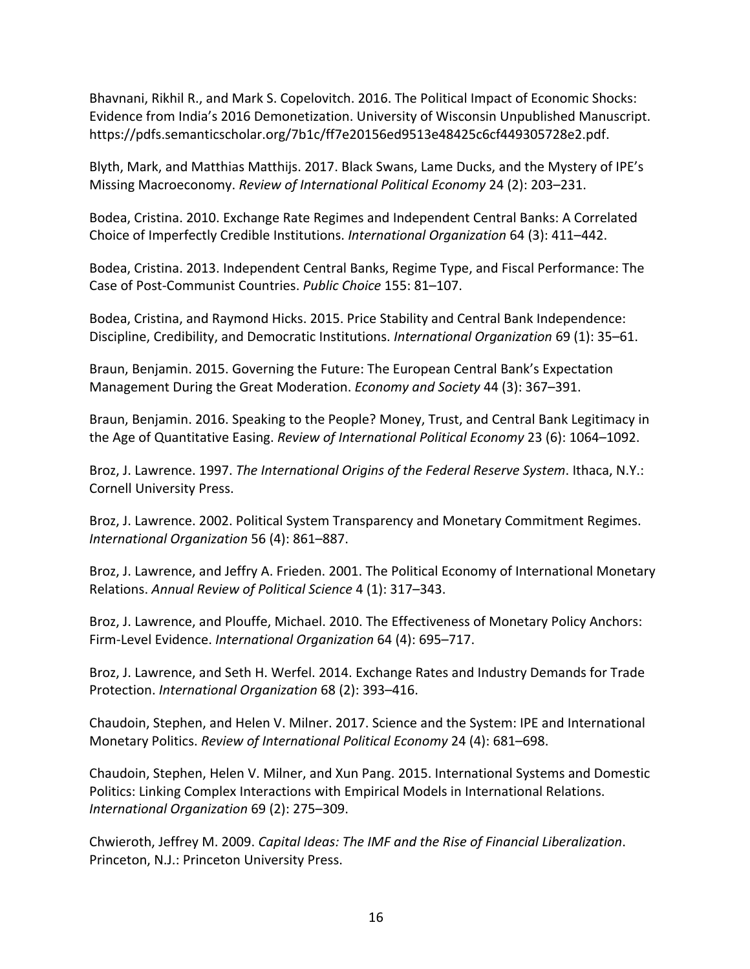Bhavnani, Rikhil R., and Mark S. Copelovitch. 2016. The Political Impact of Economic Shocks: Evidence from India's 2016 Demonetization. University of Wisconsin Unpublished Manuscript. https://pdfs.semanticscholar.org/7b1c/ff7e20156ed9513e48425c6cf449305728e2.pdf.

Blyth, Mark, and Matthias Matthijs. 2017. Black Swans, Lame Ducks, and the Mystery of IPE's Missing Macroeconomy. *Review of International Political Economy* 24 (2): 203–231.

Bodea, Cristina. 2010. Exchange Rate Regimes and Independent Central Banks: A Correlated Choice of Imperfectly Credible Institutions. *International Organization* 64 (3): 411–442.

Bodea, Cristina. 2013. Independent Central Banks, Regime Type, and Fiscal Performance: The Case of Post-Communist Countries. *Public Choice* 155: 81–107.

Bodea, Cristina, and Raymond Hicks. 2015. Price Stability and Central Bank Independence: Discipline, Credibility, and Democratic Institutions. *International Organization* 69 (1): 35–61.

Braun, Benjamin. 2015. Governing the Future: The European Central Bank's Expectation Management During the Great Moderation. *Economy and Society* 44 (3): 367–391.

Braun, Benjamin. 2016. Speaking to the People? Money, Trust, and Central Bank Legitimacy in the Age of Quantitative Easing. *Review of International Political Economy* 23 (6): 1064–1092.

Broz, J. Lawrence. 1997. *The International Origins of the Federal Reserve System*. Ithaca, N.Y.: Cornell University Press.

Broz, J. Lawrence. 2002. Political System Transparency and Monetary Commitment Regimes. *International Organization* 56 (4): 861–887.

Broz, J. Lawrence, and Jeffry A. Frieden. 2001. The Political Economy of International Monetary Relations. *Annual Review of Political Science* 4 (1): 317–343.

Broz, J. Lawrence, and Plouffe, Michael. 2010. The Effectiveness of Monetary Policy Anchors: Firm-Level Evidence. *International Organization* 64 (4): 695–717.

Broz, J. Lawrence, and Seth H. Werfel. 2014. Exchange Rates and Industry Demands for Trade Protection. *International Organization* 68 (2): 393–416.

Chaudoin, Stephen, and Helen V. Milner. 2017. Science and the System: IPE and International Monetary Politics. *Review of International Political Economy* 24 (4): 681–698.

Chaudoin, Stephen, Helen V. Milner, and Xun Pang. 2015. International Systems and Domestic Politics: Linking Complex Interactions with Empirical Models in International Relations. *International Organization* 69 (2): 275–309.

Chwieroth, Jeffrey M. 2009. *Capital Ideas: The IMF and the Rise of Financial Liberalization*. Princeton, N.J.: Princeton University Press.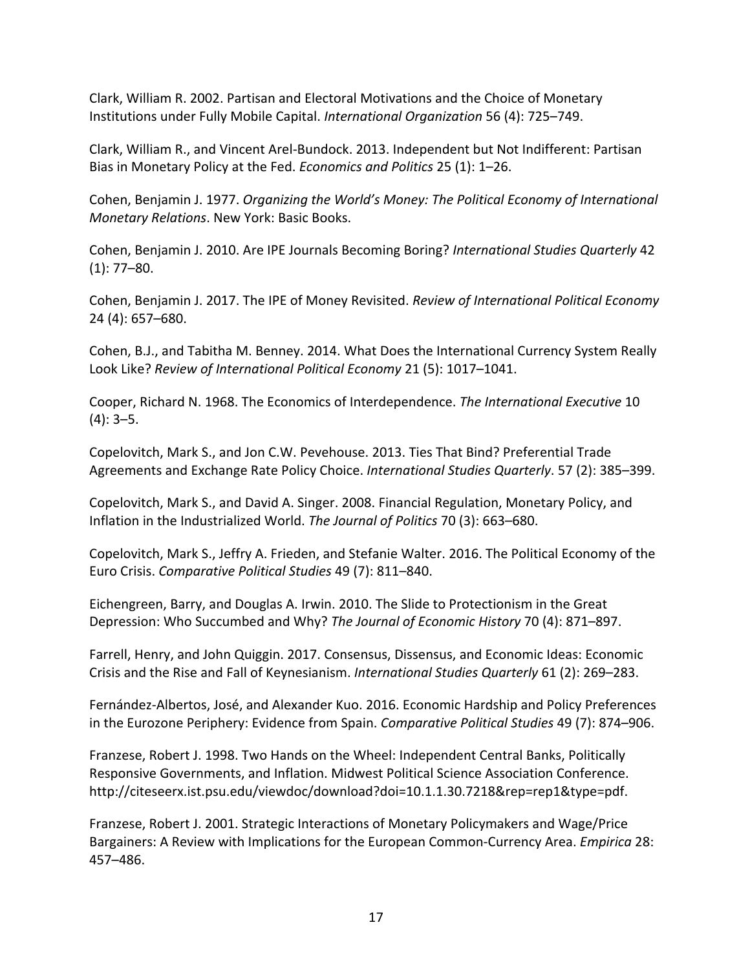Clark, William R. 2002. Partisan and Electoral Motivations and the Choice of Monetary Institutions under Fully Mobile Capital. *International Organization* 56 (4): 725–749.

Clark, William R., and Vincent Arel-Bundock. 2013. Independent but Not Indifferent: Partisan Bias in Monetary Policy at the Fed. *Economics and Politics* 25 (1): 1–26.

Cohen, Benjamin J. 1977. *Organizing the World's Money: The Political Economy of International Monetary Relations*. New York: Basic Books.

Cohen, Benjamin J. 2010. Are IPE Journals Becoming Boring? *International Studies Quarterly* 42  $(1): 77-80.$ 

Cohen, Benjamin J. 2017. The IPE of Money Revisited. *Review of International Political Economy* 24 (4): 657–680.

Cohen, B.J., and Tabitha M. Benney. 2014. What Does the International Currency System Really Look Like? *Review of International Political Economy* 21 (5): 1017–1041.

Cooper, Richard N. 1968. The Economics of Interdependence. *The International Executive* 10  $(4): 3-5.$ 

Copelovitch, Mark S., and Jon C.W. Pevehouse. 2013. Ties That Bind? Preferential Trade Agreements and Exchange Rate Policy Choice. *International Studies Quarterly*. 57 (2): 385–399.

Copelovitch, Mark S., and David A. Singer. 2008. Financial Regulation, Monetary Policy, and Inflation in the Industrialized World. *The Journal of Politics* 70 (3): 663–680.

Copelovitch, Mark S., Jeffry A. Frieden, and Stefanie Walter. 2016. The Political Economy of the Euro Crisis. *Comparative Political Studies* 49 (7): 811–840.

Eichengreen, Barry, and Douglas A. Irwin. 2010. The Slide to Protectionism in the Great Depression: Who Succumbed and Why? *The Journal of Economic History* 70 (4): 871–897.

Farrell, Henry, and John Quiggin. 2017. Consensus, Dissensus, and Economic Ideas: Economic Crisis and the Rise and Fall of Keynesianism. *International Studies Quarterly* 61 (2): 269–283.

Fernández-Albertos, José, and Alexander Kuo. 2016. Economic Hardship and Policy Preferences in the Eurozone Periphery: Evidence from Spain. *Comparative Political Studies* 49 (7): 874–906.

Franzese, Robert J. 1998. Two Hands on the Wheel: Independent Central Banks, Politically Responsive Governments, and Inflation. Midwest Political Science Association Conference. http://citeseerx.ist.psu.edu/viewdoc/download?doi=10.1.1.30.7218&rep=rep1&type=pdf.

Franzese, Robert J. 2001. Strategic Interactions of Monetary Policymakers and Wage/Price Bargainers: A Review with Implications for the European Common-Currency Area. *Empirica* 28: 457–486.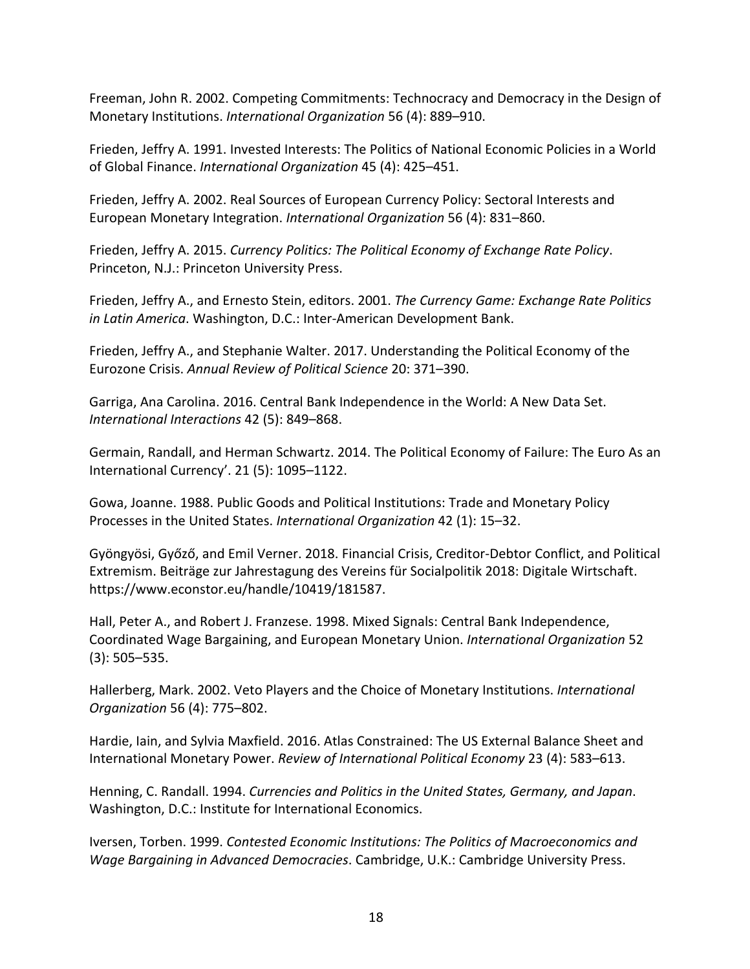Freeman, John R. 2002. Competing Commitments: Technocracy and Democracy in the Design of Monetary Institutions. *International Organization* 56 (4): 889–910.

Frieden, Jeffry A. 1991. Invested Interests: The Politics of National Economic Policies in a World of Global Finance. *International Organization* 45 (4): 425–451.

Frieden, Jeffry A. 2002. Real Sources of European Currency Policy: Sectoral Interests and European Monetary Integration. *International Organization* 56 (4): 831–860.

Frieden, Jeffry A. 2015. *Currency Politics: The Political Economy of Exchange Rate Policy*. Princeton, N.J.: Princeton University Press.

Frieden, Jeffry A., and Ernesto Stein, editors. 2001. *The Currency Game: Exchange Rate Politics in Latin America*. Washington, D.C.: Inter-American Development Bank.

Frieden, Jeffry A., and Stephanie Walter. 2017. Understanding the Political Economy of the Eurozone Crisis. *Annual Review of Political Science* 20: 371–390.

Garriga, Ana Carolina. 2016. Central Bank Independence in the World: A New Data Set. *International Interactions* 42 (5): 849–868.

Germain, Randall, and Herman Schwartz. 2014. The Political Economy of Failure: The Euro As an International Currency'. 21 (5): 1095–1122.

Gowa, Joanne. 1988. Public Goods and Political Institutions: Trade and Monetary Policy Processes in the United States. *International Organization* 42 (1): 15–32.

Gyöngyösi, Győző, and Emil Verner. 2018. Financial Crisis, Creditor-Debtor Conflict, and Political Extremism. Beiträge zur Jahrestagung des Vereins für Socialpolitik 2018: Digitale Wirtschaft. https://www.econstor.eu/handle/10419/181587.

Hall, Peter A., and Robert J. Franzese. 1998. Mixed Signals: Central Bank Independence, Coordinated Wage Bargaining, and European Monetary Union. *International Organization* 52 (3): 505–535.

Hallerberg, Mark. 2002. Veto Players and the Choice of Monetary Institutions. *International Organization* 56 (4): 775–802.

Hardie, Iain, and Sylvia Maxfield. 2016. Atlas Constrained: The US External Balance Sheet and International Monetary Power. *Review of International Political Economy* 23 (4): 583–613.

Henning, C. Randall. 1994. *Currencies and Politics in the United States, Germany, and Japan*. Washington, D.C.: Institute for International Economics.

Iversen, Torben. 1999. *Contested Economic Institutions: The Politics of Macroeconomics and Wage Bargaining in Advanced Democracies*. Cambridge, U.K.: Cambridge University Press.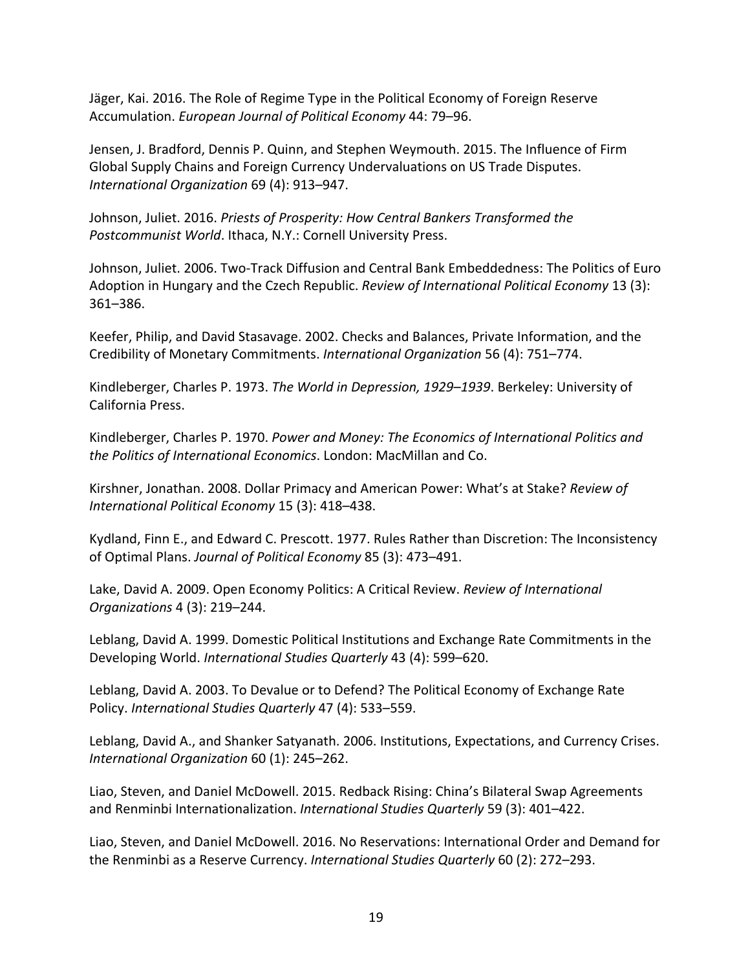Jäger, Kai. 2016. The Role of Regime Type in the Political Economy of Foreign Reserve Accumulation. *European Journal of Political Economy* 44: 79–96.

Jensen, J. Bradford, Dennis P. Quinn, and Stephen Weymouth. 2015. The Influence of Firm Global Supply Chains and Foreign Currency Undervaluations on US Trade Disputes. *International Organization* 69 (4): 913–947.

Johnson, Juliet. 2016. *Priests of Prosperity: How Central Bankers Transformed the Postcommunist World*. Ithaca, N.Y.: Cornell University Press.

Johnson, Juliet. 2006. Two-Track Diffusion and Central Bank Embeddedness: The Politics of Euro Adoption in Hungary and the Czech Republic. *Review of International Political Economy* 13 (3): 361–386.

Keefer, Philip, and David Stasavage. 2002. Checks and Balances, Private Information, and the Credibility of Monetary Commitments. *International Organization* 56 (4): 751–774.

Kindleberger, Charles P. 1973. *The World in Depression, 1929–1939*. Berkeley: University of California Press.

Kindleberger, Charles P. 1970. *Power and Money: The Economics of International Politics and the Politics of International Economics*. London: MacMillan and Co.

Kirshner, Jonathan. 2008. Dollar Primacy and American Power: What's at Stake? *Review of International Political Economy* 15 (3): 418–438.

Kydland, Finn E., and Edward C. Prescott. 1977. Rules Rather than Discretion: The Inconsistency of Optimal Plans. *Journal of Political Economy* 85 (3): 473–491.

Lake, David A. 2009. Open Economy Politics: A Critical Review. *Review of International Organizations* 4 (3): 219–244.

Leblang, David A. 1999. Domestic Political Institutions and Exchange Rate Commitments in the Developing World. *International Studies Quarterly* 43 (4): 599–620.

Leblang, David A. 2003. To Devalue or to Defend? The Political Economy of Exchange Rate Policy. *International Studies Quarterly* 47 (4): 533–559.

Leblang, David A., and Shanker Satyanath. 2006. Institutions, Expectations, and Currency Crises. *International Organization* 60 (1): 245–262.

Liao, Steven, and Daniel McDowell. 2015. Redback Rising: China's Bilateral Swap Agreements and Renminbi Internationalization. *International Studies Quarterly* 59 (3): 401–422.

Liao, Steven, and Daniel McDowell. 2016. No Reservations: International Order and Demand for the Renminbi as a Reserve Currency. *International Studies Quarterly* 60 (2): 272–293.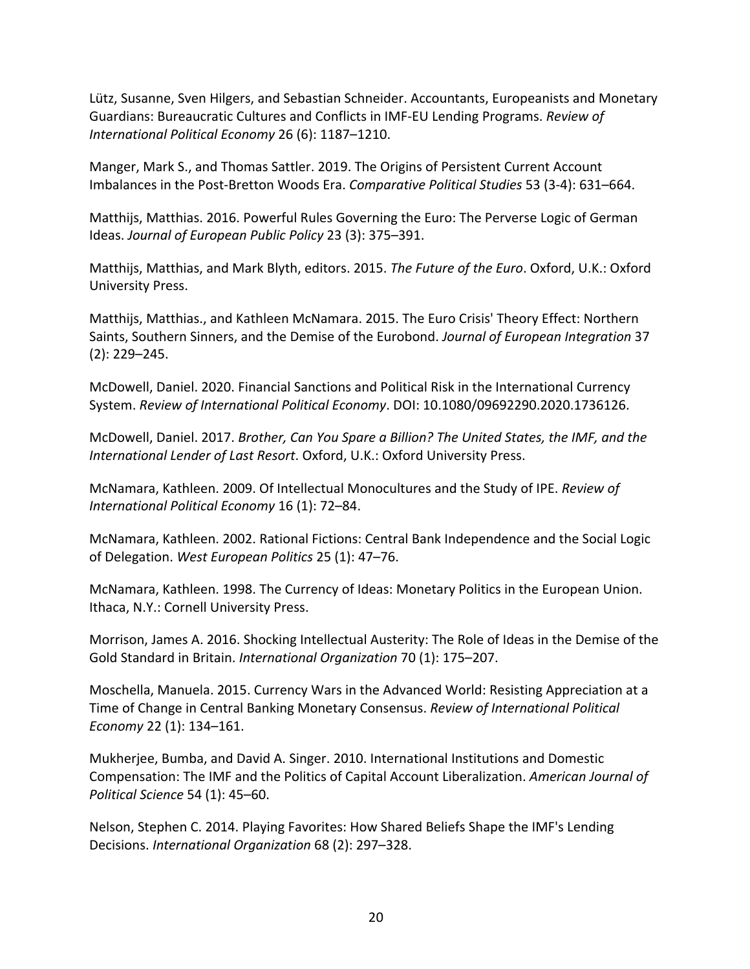Lütz, Susanne, Sven Hilgers, and Sebastian Schneider. Accountants, Europeanists and Monetary Guardians: Bureaucratic Cultures and Conflicts in IMF-EU Lending Programs. *Review of International Political Economy* 26 (6): 1187–1210.

Manger, Mark S., and Thomas Sattler. 2019. The Origins of Persistent Current Account Imbalances in the Post-Bretton Woods Era. *Comparative Political Studies* 53 (3-4): 631–664.

Matthijs, Matthias. 2016. Powerful Rules Governing the Euro: The Perverse Logic of German Ideas. *Journal of European Public Policy* 23 (3): 375–391.

Matthijs, Matthias, and Mark Blyth, editors. 2015. *The Future of the Euro*. Oxford, U.K.: Oxford University Press.

Matthijs, Matthias., and Kathleen McNamara. 2015. The Euro Crisis' Theory Effect: Northern Saints, Southern Sinners, and the Demise of the Eurobond. *Journal of European Integration* 37 (2): 229–245.

McDowell, Daniel. 2020. Financial Sanctions and Political Risk in the International Currency System. *Review of International Political Economy*. DOI: 10.1080/09692290.2020.1736126.

McDowell, Daniel. 2017. *Brother, Can You Spare a Billion? The United States, the IMF, and the International Lender of Last Resort*. Oxford, U.K.: Oxford University Press.

McNamara, Kathleen. 2009. Of Intellectual Monocultures and the Study of IPE. *Review of International Political Economy* 16 (1): 72–84.

McNamara, Kathleen. 2002. Rational Fictions: Central Bank Independence and the Social Logic of Delegation. *West European Politics* 25 (1): 47–76.

McNamara, Kathleen. 1998. The Currency of Ideas: Monetary Politics in the European Union. Ithaca, N.Y.: Cornell University Press.

Morrison, James A. 2016. Shocking Intellectual Austerity: The Role of Ideas in the Demise of the Gold Standard in Britain. *International Organization* 70 (1): 175–207.

Moschella, Manuela. 2015. Currency Wars in the Advanced World: Resisting Appreciation at a Time of Change in Central Banking Monetary Consensus. *Review of International Political Economy* 22 (1): 134–161.

Mukherjee, Bumba, and David A. Singer. 2010. International Institutions and Domestic Compensation: The IMF and the Politics of Capital Account Liberalization. *American Journal of Political Science* 54 (1): 45–60.

Nelson, Stephen C. 2014. Playing Favorites: How Shared Beliefs Shape the IMF's Lending Decisions. *International Organization* 68 (2): 297–328.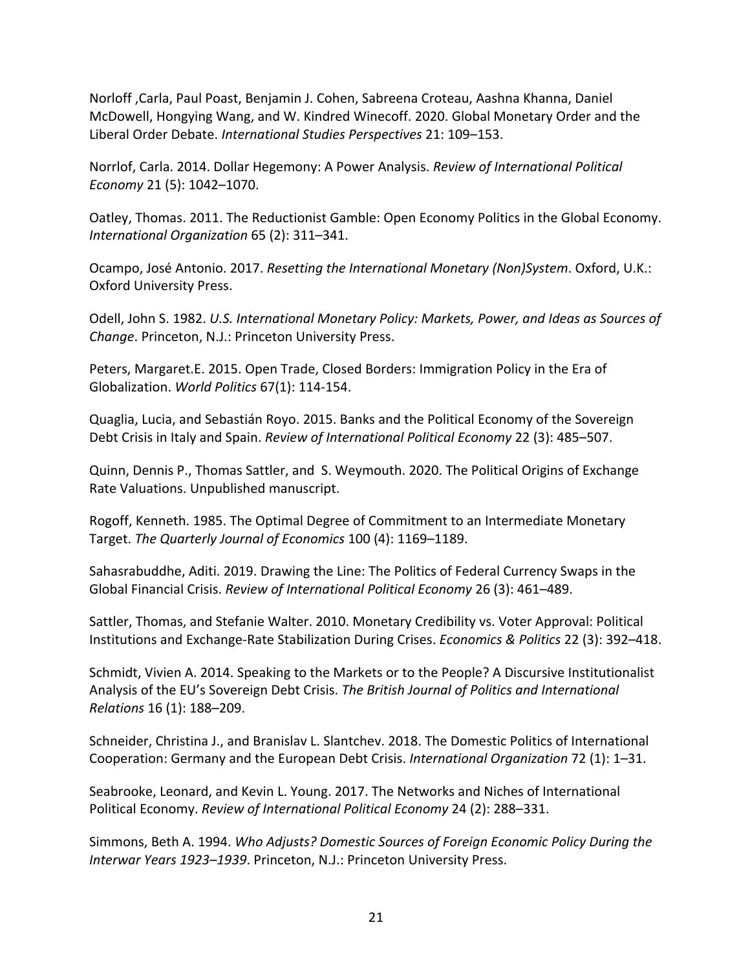Norloff ,Carla, Paul Poast, Benjamin J. Cohen, Sabreena Croteau, Aashna Khanna, Daniel McDowell, Hongying Wang, and W. Kindred Winecoff. 2020. Global Monetary Order and the Liberal Order Debate. *International Studies Perspectives* 21: 109–153.

Norrlof, Carla. 2014. Dollar Hegemony: A Power Analysis. *Review of International Political Economy* 21 (5): 1042–1070.

Oatley, Thomas. 2011. The Reductionist Gamble: Open Economy Politics in the Global Economy. *International Organization* 65 (2): 311–341.

Ocampo, José Antonio. 2017. *Resetting the International Monetary (Non)System*. Oxford, U.K.: Oxford University Press.

Odell, John S. 1982. *U.S. International Monetary Policy: Markets, Power, and Ideas as Sources of Change*. Princeton, N.J.: Princeton University Press.

Peters, Margaret.E. 2015. Open Trade, Closed Borders: Immigration Policy in the Era of Globalization. *World Politics* 67(1): 114-154.

Quaglia, Lucia, and Sebastián Royo. 2015. Banks and the Political Economy of the Sovereign Debt Crisis in Italy and Spain. *Review of International Political Economy* 22 (3): 485–507.

Quinn, Dennis P., Thomas Sattler, and S. Weymouth. 2020. The Political Origins of Exchange Rate Valuations. Unpublished manuscript.

Rogoff, Kenneth. 1985. The Optimal Degree of Commitment to an Intermediate Monetary Target. *The Quarterly Journal of Economics* 100 (4): 1169–1189.

Sahasrabuddhe, Aditi. 2019. Drawing the Line: The Politics of Federal Currency Swaps in the Global Financial Crisis. *Review of International Political Economy* 26 (3): 461–489.

Sattler, Thomas, and Stefanie Walter. 2010. Monetary Credibility vs. Voter Approval: Political Institutions and Exchange-Rate Stabilization During Crises. *Economics & Politics* 22 (3): 392–418.

Schmidt, Vivien A. 2014. Speaking to the Markets or to the People? A Discursive Institutionalist Analysis of the EU's Sovereign Debt Crisis. *The British Journal of Politics and International Relations* 16 (1): 188–209.

Schneider, Christina J., and Branislav L. Slantchev. 2018. The Domestic Politics of International Cooperation: Germany and the European Debt Crisis. *International Organization* 72 (1): 1–31.

Seabrooke, Leonard, and Kevin L. Young. 2017. The Networks and Niches of International Political Economy. *Review of International Political Economy* 24 (2): 288–331.

Simmons, Beth A. 1994. *Who Adjusts? Domestic Sources of Foreign Economic Policy During the Interwar Years 1923–1939*. Princeton, N.J.: Princeton University Press.